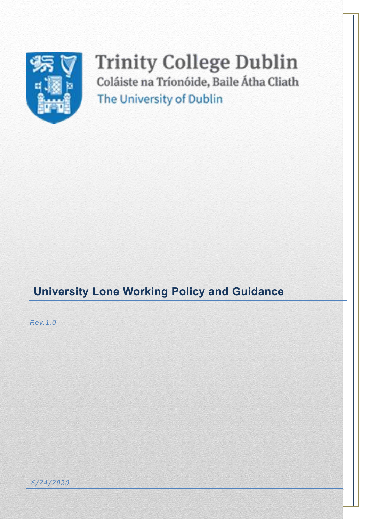

# **Trinity College Dublin** Coláiste na Tríonóide, Baile Átha Cliath The University of Dublin

# **University Lone Working Policy and Guidance**

*Rev.1.0*

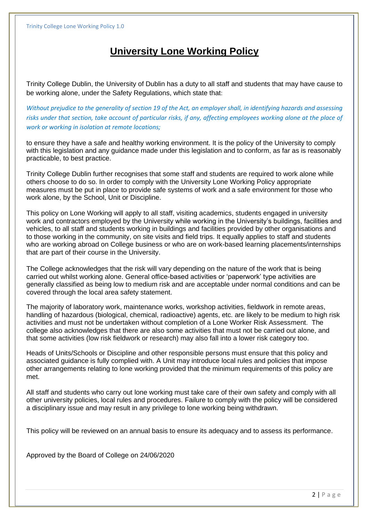# **University Lone Working Policy**

Trinity College Dublin, the University of Dublin has a duty to all staff and students that may have cause to be working alone, under the Safety Regulations, which state that:

*Without prejudice to the generality of section 19 of the Act, an employer shall, in identifying hazards and assessing risks under that section, take account of particular risks, if any, affecting employees working alone at the place of work or working in isolation at remote locations;*

to ensure they have a safe and healthy working environment. It is the policy of the University to comply with this legislation and any guidance made under this legislation and to conform, as far as is reasonably practicable, to best practice.

Trinity College Dublin further recognises that some staff and students are required to work alone while others choose to do so. In order to comply with the University Lone Working Policy appropriate measures must be put in place to provide safe systems of work and a safe environment for those who work alone, by the School, Unit or Discipline.

This policy on Lone Working will apply to all staff, visiting academics, students engaged in university work and contractors employed by the University while working in the University's buildings, facilities and vehicles, to all staff and students working in buildings and facilities provided by other organisations and to those working in the community, on site visits and field trips. It equally applies to staff and students who are working abroad on College business or who are on work-based learning placements/internships that are part of their course in the University.

The College acknowledges that the risk will vary depending on the nature of the work that is being carried out whilst working alone. General office-based activities or 'paperwork' type activities are generally classified as being low to medium risk and are acceptable under normal conditions and can be covered through the local area safety statement.

The majority of laboratory work, maintenance works, workshop activities, fieldwork in remote areas, handling of hazardous (biological, chemical, radioactive) agents, etc. are likely to be medium to high risk activities and must not be undertaken without completion of a Lone Worker Risk Assessment. The college also acknowledges that there are also some activities that must not be carried out alone, and that some activities (low risk fieldwork or research) may also fall into a lower risk category too.

Heads of Units/Schools or Discipline and other responsible persons must ensure that this policy and associated guidance is fully complied with. A Unit may introduce local rules and policies that impose other arrangements relating to lone working provided that the minimum requirements of this policy are met.

All staff and students who carry out lone working must take care of their own safety and comply with all other university policies, local rules and procedures. Failure to comply with the policy will be considered a disciplinary issue and may result in any privilege to lone working being withdrawn.

This policy will be reviewed on an annual basis to ensure its adequacy and to assess its performance.

Approved by the Board of College on 24/06/2020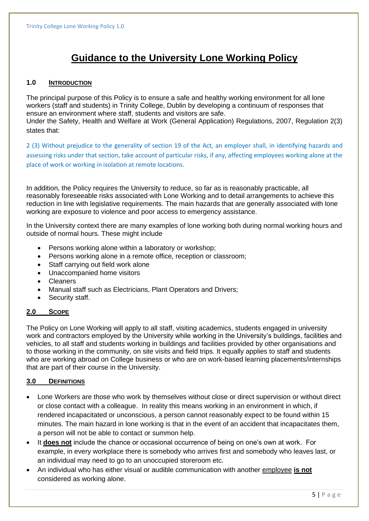# **Guidance to the University Lone Working Policy**

### **1.0 INTRODUCTION**

The principal purpose of this Policy is to ensure a safe and healthy working environment for all lone workers (staff and students) in Trinity College, Dublin by developing a continuum of responses that ensure an environment where staff, students and visitors are safe.

Under the Safety, Health and Welfare at Work (General Application) Regulations, 2007, Regulation 2(3) states that:

2 (3) Without prejudice to the generality of section 19 of the Act, an employer shall, in identifying hazards and assessing risks under that section, take account of particular risks, if any, affecting employees working alone at the place of work or working in isolation at remote locations.

In addition, the Policy requires the University to reduce, so far as is reasonably practicable, all reasonably foreseeable risks associated with Lone Working and to detail arrangements to achieve this reduction in line with legislative requirements. The main hazards that are generally associated with lone working are exposure to violence and poor access to emergency assistance.

In the University context there are many examples of lone working both during normal working hours and outside of normal hours. These might include

- Persons working alone within a laboratory or workshop;
- Persons working alone in a remote office, reception or classroom;
- Staff carrying out field work alone
- Unaccompanied home visitors
- Cleaners
- Manual staff such as Electricians, Plant Operators and Drivers;
- Security staff.

### **2.0 SCOPE**

The Policy on Lone Working will apply to all staff, visiting academics, students engaged in university work and contractors employed by the University while working in the University's buildings, facilities and vehicles, to all staff and students working in buildings and facilities provided by other organisations and to those working in the community, on site visits and field trips. It equally applies to staff and students who are working abroad on College business or who are on work-based learning placements/internships that are part of their course in the University.

### **3.0 DEFINITIONS**

- Lone Workers are those who work by themselves without close or direct supervision or without direct or close contact with a colleague. In reality this means working in an environment in which, if rendered incapacitated or unconscious, a person cannot reasonably expect to be found within 15 minutes. The main hazard in lone working is that in the event of an accident that incapacitates them, a person will not be able to contact or summon help.
- It **does not** include the chance or occasional occurrence of being on one's own at work. For example, in every workplace there is somebody who arrives first and somebody who leaves last, or an individual may need to go to an unoccupied storeroom etc.
- An individual who has either visual or audible communication with another employee **is not** considered as working alone.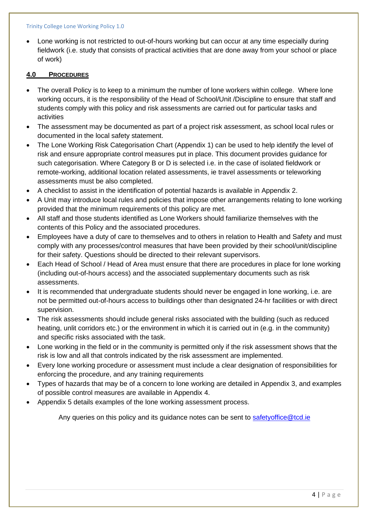#### Trinity College Lone Working Policy 1.0

• Lone working is not restricted to out-of-hours working but can occur at any time especially during fieldwork (i.e. study that consists of practical activities that are done away from your school or place of work)

### **4.0 PROCEDURES**

- The overall Policy is to keep to a minimum the number of lone workers within college. Where lone working occurs, it is the responsibility of the Head of School/Unit /Discipline to ensure that staff and students comply with this policy and risk assessments are carried out for particular tasks and activities
- The assessment may be documented as part of a project risk assessment, as school local rules or documented in the local safety statement.
- The Lone Working Risk Categorisation Chart (Appendix 1) can be used to help identify the level of risk and ensure appropriate control measures put in place. This document provides guidance for such categorisation. Where Category B or D is selected i.e. in the case of isolated fieldwork or remote-working, additional location related assessments, ie travel assessments or teleworking assessments must be also completed.
- A checklist to assist in the identification of potential hazards is available in Appendix 2.
- A Unit may introduce local rules and policies that impose other arrangements relating to lone working provided that the minimum requirements of this policy are met.
- All staff and those students identified as Lone Workers should familiarize themselves with the contents of this Policy and the associated procedures.
- Employees have a duty of care to themselves and to others in relation to Health and Safety and must comply with any processes/control measures that have been provided by their school/unit/discipline for their safety. Questions should be directed to their relevant supervisors.
- Each Head of School / Head of Area must ensure that there are procedures in place for lone working (including out-of-hours access) and the associated supplementary documents such as risk assessments.
- It is recommended that undergraduate students should never be engaged in lone working, i.e. are not be permitted out-of-hours access to buildings other than designated 24-hr facilities or with direct supervision.
- The risk assessments should include general risks associated with the building (such as reduced heating, unlit corridors etc.) or the environment in which it is carried out in (e.g. in the community) and specific risks associated with the task.
- Lone working in the field or in the community is permitted only if the risk assessment shows that the risk is low and all that controls indicated by the risk assessment are implemented.
- Every lone working procedure or assessment must include a clear designation of responsibilities for enforcing the procedure, and any training requirements
- Types of hazards that may be of a concern to lone working are detailed in Appendix 3, and examples of possible control measures are available in Appendix 4.
- Appendix 5 details examples of the lone working assessment process.

Any queries on this policy and its guidance notes can be sent to [safetyoffice@tcd.ie](mailto:safetyoffice@tcd.ie)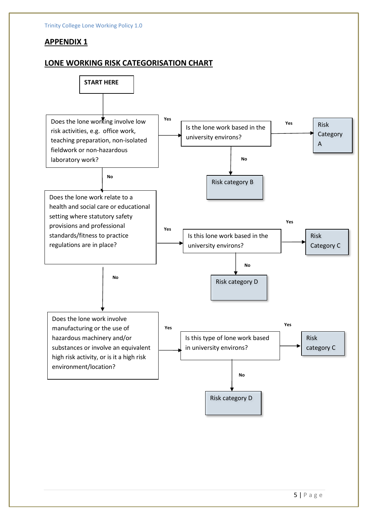# **APPENDIX 1**

# **LONE WORKING RISK CATEGORISATION CHART**

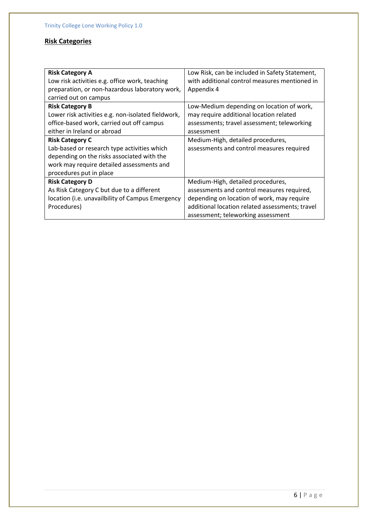# **Risk Categories**

| <b>Risk Category A</b>                             | Low Risk, can be included in Safety Statement,  |
|----------------------------------------------------|-------------------------------------------------|
| Low risk activities e.g. office work, teaching     | with additional control measures mentioned in   |
| preparation, or non-hazardous laboratory work,     | Appendix 4                                      |
| carried out on campus                              |                                                 |
| <b>Risk Category B</b>                             | Low-Medium depending on location of work,       |
| Lower risk activities e.g. non-isolated fieldwork, | may require additional location related         |
| office-based work, carried out off campus          | assessments; travel assessment; teleworking     |
| either in Ireland or abroad                        | assessment                                      |
| <b>Risk Category C</b>                             | Medium-High, detailed procedures,               |
| Lab-based or research type activities which        | assessments and control measures required       |
| depending on the risks associated with the         |                                                 |
| work may require detailed assessments and          |                                                 |
| procedures put in place                            |                                                 |
| <b>Risk Category D</b>                             | Medium-High, detailed procedures,               |
| As Risk Category C but due to a different          | assessments and control measures required,      |
| location (i.e. unavailbility of Campus Emergency   | depending on location of work, may require      |
| Procedures)                                        | additional location related assessments; travel |
|                                                    | assessment; teleworking assessment              |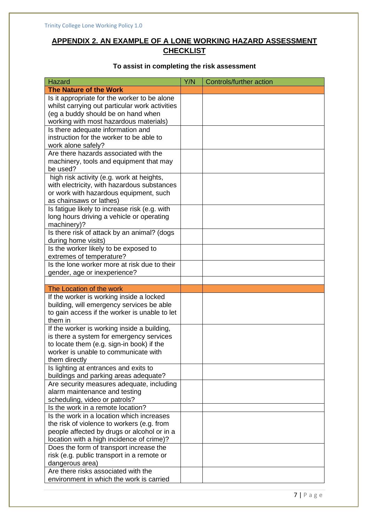# **APPENDIX 2. AN EXAMPLE OF A LONE WORKING HAZARD ASSESSMENT CHECKLIST**

# **To assist in completing the risk assessment**

| <b>Hazard</b>                                  | Y/N | Controls/further action |
|------------------------------------------------|-----|-------------------------|
| <b>The Nature of the Work</b>                  |     |                         |
| Is it appropriate for the worker to be alone   |     |                         |
| whilst carrying out particular work activities |     |                         |
| (eg a buddy should be on hand when             |     |                         |
| working with most hazardous materials)         |     |                         |
| Is there adequate information and              |     |                         |
| instruction for the worker to be able to       |     |                         |
| work alone safely?                             |     |                         |
| Are there hazards associated with the          |     |                         |
| machinery, tools and equipment that may        |     |                         |
| be used?                                       |     |                         |
| high risk activity (e.g. work at heights,      |     |                         |
| with electricity, with hazardous substances    |     |                         |
| or work with hazardous equipment, such         |     |                         |
| as chainsaws or lathes)                        |     |                         |
| Is fatigue likely to increase risk (e.g. with  |     |                         |
| long hours driving a vehicle or operating      |     |                         |
| machinery)?                                    |     |                         |
| Is there risk of attack by an animal? (dogs    |     |                         |
| during home visits)                            |     |                         |
| Is the worker likely to be exposed to          |     |                         |
| extremes of temperature?                       |     |                         |
| Is the lone worker more at risk due to their   |     |                         |
| gender, age or inexperience?                   |     |                         |
|                                                |     |                         |
| The Location of the work                       |     |                         |
| If the worker is working inside a locked       |     |                         |
| building, will emergency services be able      |     |                         |
| to gain access if the worker is unable to let  |     |                         |
| them in                                        |     |                         |
| If the worker is working inside a building,    |     |                         |
| is there a system for emergency services       |     |                         |
| to locate them (e.g. sign-in book) if the      |     |                         |
| worker is unable to communicate with           |     |                         |
| them directly                                  |     |                         |
| Is lighting at entrances and exits to          |     |                         |
| buildings and parking areas adequate?          |     |                         |
| Are security measures adequate, including      |     |                         |
| alarm maintenance and testing                  |     |                         |
| scheduling, video or patrols?                  |     |                         |
| Is the work in a remote location?              |     |                         |
| Is the work in a location which increases      |     |                         |
| the risk of violence to workers (e.g. from     |     |                         |
| people affected by drugs or alcohol or in a    |     |                         |
| location with a high incidence of crime)?      |     |                         |
| Does the form of transport increase the        |     |                         |
| risk (e.g. public transport in a remote or     |     |                         |
| dangerous area)                                |     |                         |
| Are there risks associated with the            |     |                         |
| environment in which the work is carried       |     |                         |
|                                                |     |                         |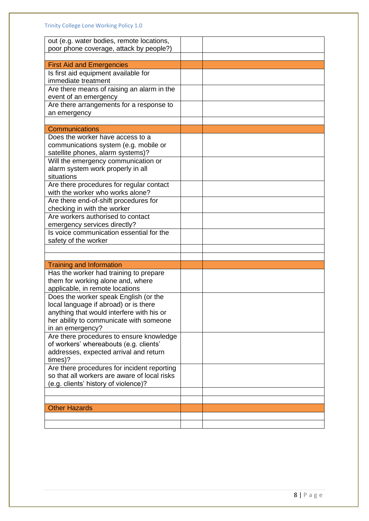| out (e.g. water bodies, remote locations,                                        |  |
|----------------------------------------------------------------------------------|--|
| poor phone coverage, attack by people?)                                          |  |
| <b>First Aid and Emergencies</b>                                                 |  |
| Is first aid equipment available for                                             |  |
| immediate treatment                                                              |  |
| Are there means of raising an alarm in the                                       |  |
| event of an emergency                                                            |  |
| Are there arrangements for a response to                                         |  |
| an emergency                                                                     |  |
| <b>Communications</b>                                                            |  |
| Does the worker have access to a                                                 |  |
| communications system (e.g. mobile or                                            |  |
| satellite phones, alarm systems)?                                                |  |
| Will the emergency communication or                                              |  |
| alarm system work properly in all                                                |  |
| situations                                                                       |  |
| Are there procedures for regular contact                                         |  |
| with the worker who works alone?                                                 |  |
| Are there end-of-shift procedures for                                            |  |
| checking in with the worker                                                      |  |
| Are workers authorised to contact                                                |  |
| emergency services directly?                                                     |  |
| Is voice communication essential for the                                         |  |
| safety of the worker                                                             |  |
|                                                                                  |  |
| <b>Training and Information</b>                                                  |  |
| Has the worker had training to prepare                                           |  |
| them for working alone and, where                                                |  |
| applicable, in remote locations                                                  |  |
| Does the worker speak English (or the                                            |  |
| local language if abroad) or is there                                            |  |
| anything that would interfere with his or                                        |  |
| her ability to communicate with someone                                          |  |
| in an emergency?                                                                 |  |
| Are there procedures to ensure knowledge                                         |  |
| of workers' whereabouts (e.g. clients'<br>addresses, expected arrival and return |  |
| times)?                                                                          |  |
| Are there procedures for incident reporting                                      |  |
| so that all workers are aware of local risks                                     |  |
| (e.g. clients' history of violence)?                                             |  |
|                                                                                  |  |
|                                                                                  |  |
| <b>Other Hazards</b>                                                             |  |
|                                                                                  |  |
|                                                                                  |  |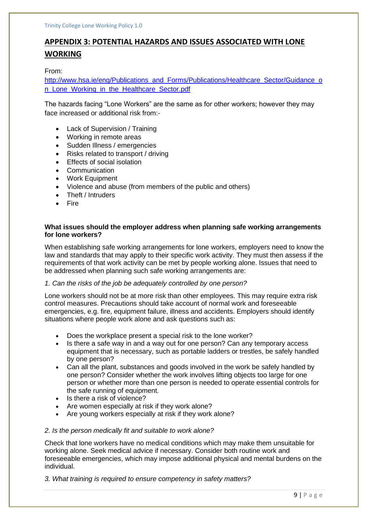# **APPENDIX 3: POTENTIAL HAZARDS AND ISSUES ASSOCIATED WITH LONE WORKING**

From:

[http://www.hsa.ie/eng/Publications\\_and\\_Forms/Publications/Healthcare\\_Sector/Guidance\\_o](http://www.hsa.ie/eng/Publications_and_Forms/Publications/Healthcare_Sector/Guidance_on_Lone_Working_in_the_Healthcare_Sector.pdf) n Lone Working in the Healthcare Sector.pdf

The hazards facing "Lone Workers" are the same as for other workers; however they may face increased or additional risk from:-

- Lack of Supervision / Training
- Working in remote areas
- Sudden Illness / emergencies
- Risks related to transport / driving
- **Effects of social isolation**
- **Communication**
- Work Equipment
- Violence and abuse (from members of the public and others)
- Theft / Intruders
- Fire

### **What issues should the employer address when planning safe working arrangements for lone workers?**

When establishing safe working arrangements for lone workers, employers need to know the law and standards that may apply to their specific work activity. They must then assess if the requirements of that work activity can be met by people working alone. Issues that need to be addressed when planning such safe working arrangements are:

### *1. Can the risks of the job be adequately controlled by one person?*

Lone workers should not be at more risk than other employees. This may require extra risk control measures. Precautions should take account of normal work and foreseeable emergencies, e.g. fire, equipment failure, illness and accidents. Employers should identify situations where people work alone and ask questions such as:

- Does the workplace present a special risk to the lone worker?
- Is there a safe way in and a way out for one person? Can any temporary access equipment that is necessary, such as portable ladders or trestles, be safely handled by one person?
- Can all the plant, substances and goods involved in the work be safely handled by one person? Consider whether the work involves lifting objects too large for one person or whether more than one person is needed to operate essential controls for the safe running of equipment.
- Is there a risk of violence?
- Are women especially at risk if they work alone?
- Are young workers especially at risk if they work alone?

### *2. Is the person medically fit and suitable to work alone?*

Check that lone workers have no medical conditions which may make them unsuitable for working alone. Seek medical advice if necessary. Consider both routine work and foreseeable emergencies, which may impose additional physical and mental burdens on the individual.

*3. What training is required to ensure competency in safety matters?*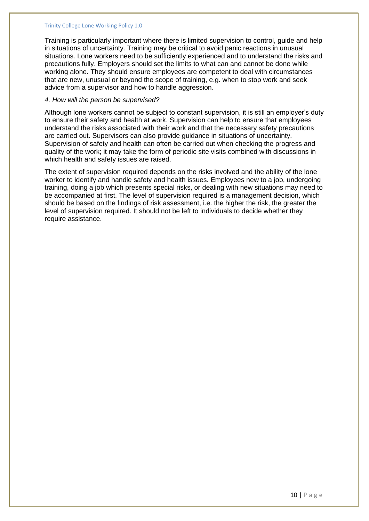#### Trinity College Lone Working Policy 1.0

Training is particularly important where there is limited supervision to control, guide and help in situations of uncertainty. Training may be critical to avoid panic reactions in unusual situations. Lone workers need to be sufficiently experienced and to understand the risks and precautions fully. Employers should set the limits to what can and cannot be done while working alone. They should ensure employees are competent to deal with circumstances that are new, unusual or beyond the scope of training, e.g. when to stop work and seek advice from a supervisor and how to handle aggression.

### *4. How will the person be supervised?*

Although lone workers cannot be subject to constant supervision, it is still an employer's duty to ensure their safety and health at work. Supervision can help to ensure that employees understand the risks associated with their work and that the necessary safety precautions are carried out. Supervisors can also provide guidance in situations of uncertainty. Supervision of safety and health can often be carried out when checking the progress and quality of the work; it may take the form of periodic site visits combined with discussions in which health and safety issues are raised.

The extent of supervision required depends on the risks involved and the ability of the lone worker to identify and handle safety and health issues. Employees new to a job, undergoing training, doing a job which presents special risks, or dealing with new situations may need to be accompanied at first. The level of supervision required is a management decision, which should be based on the findings of risk assessment, i.e. the higher the risk, the greater the level of supervision required. It should not be left to individuals to decide whether they require assistance.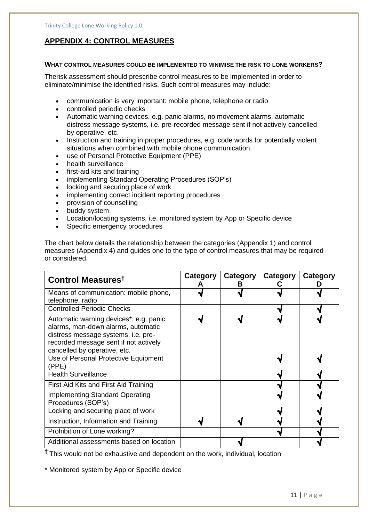### **APPENDIX 4: CONTROL MEASURES**

#### **WHAT CONTROL MEASURES COULD BE IMPLEMENTED TO MINIMISE THE RISK TO LONE WORKERS?**

Therisk assessment should prescribe control measures to be implemented in order to eliminate/minimise the identified risks. Such control measures may include:

- communication is very important: mobile phone, telephone or radio
- controlled periodic checks
- Automatic warning devices, e.g. panic alarms, no movement alarms, automatic distress message systems, i.e. pre-recorded message sent if not actively cancelled by operative, etc.
- Instruction and training in proper procedures, e.g. code words for potentially violent situations when combined with mobile phone communication.
- use of Personal Protective Equipment (PPE)
- health surveillance
- first-aid kits and training
- implementing Standard Operating Procedures (SOP's)
- locking and securing place of work
- implementing correct incident reporting procedures
- provision of counselling
- buddy system
- Location/locating systems, i.e. monitored system by App or Specific device
- Specific emergency procedures

The chart below details the relationship between the categories (Appendix 1) and control measures (Appendix 4) and guides one to the type of control measures that may be required or considered.

| Control Measures <sup>t</sup>                                                                                                                                                                | Category | Category<br>в | Category | Category |
|----------------------------------------------------------------------------------------------------------------------------------------------------------------------------------------------|----------|---------------|----------|----------|
| Means of communication: mobile phone,<br>telephone, radio                                                                                                                                    |          |               |          |          |
| <b>Controlled Periodic Checks</b>                                                                                                                                                            |          |               |          |          |
| Automatic warning devices*, e.g. panic<br>alarms, man-down alarms, automatic<br>distress message systems, i.e. pre-<br>recorded message sent if not actively<br>cancelled by operative, etc. |          |               |          |          |
| Use of Personal Protective Equipment<br>(PPE)                                                                                                                                                |          |               |          |          |
| <b>Health Surveillance</b>                                                                                                                                                                   |          |               |          |          |
| First Aid Kits and First Aid Training                                                                                                                                                        |          |               |          |          |
| <b>Implementing Standard Operating</b><br>Procedures (SOP's)                                                                                                                                 |          |               |          |          |
| Locking and securing place of work                                                                                                                                                           |          |               |          |          |
| Instruction, Information and Training                                                                                                                                                        |          |               |          |          |
| Prohibition of Lone working?                                                                                                                                                                 |          |               |          |          |
| Additional assessments based on location                                                                                                                                                     |          |               |          |          |

**†** This would not be exhaustive and dependent on the work, individual, location

\* Monitored system by App or Specific device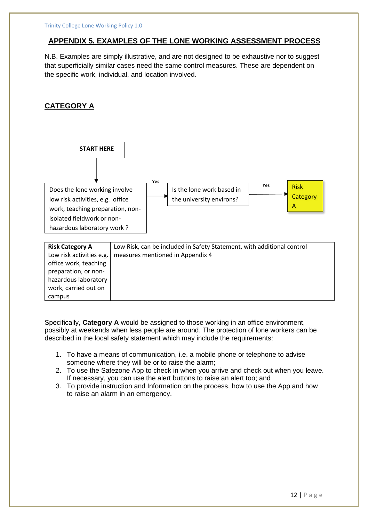### **APPENDIX 5. EXAMPLES OF THE LONE WORKING ASSESSMENT PROCESS**

N.B. Examples are simply illustrative, and are not designed to be exhaustive nor to suggest that superficially similar cases need the same control measures. These are dependent on the specific work, individual, and location involved.

# **CATEGORY A**



Specifically, **Category A** would be assigned to those working in an office environment, possibly at weekends when less people are around. The protection of lone workers can be described in the local safety statement which may include the requirements:

- 1. To have a means of communication, i.e. a mobile phone or telephone to advise someone where they will be or to raise the alarm;
- 2. To use the Safezone App to check in when you arrive and check out when you leave. If necessary, you can use the alert buttons to raise an alert too; and
- 3. To provide instruction and Information on the process, how to use the App and how to raise an alarm in an emergency.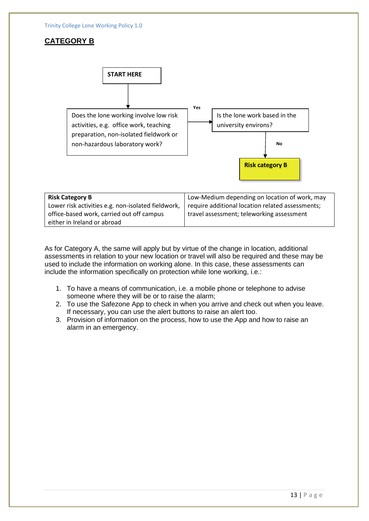

| <b>Risk Category B</b>                             | Low-Medium depending on location of work, may    |
|----------------------------------------------------|--------------------------------------------------|
| Lower risk activities e.g. non-isolated fieldwork, | require additional location related assessments; |
| office-based work, carried out off campus          | travel assessment; teleworking assessment        |
| either in Ireland or abroad                        |                                                  |

As for Category A, the same will apply but by virtue of the change in location, additional assessments in relation to your new location or travel will also be required and these may be used to include the information on working alone. In this case, these assessments can include the information specifically on protection while lone working, i.e.:

- 1. To have a means of communication, i.e. a mobile phone or telephone to advise someone where they will be or to raise the alarm;
- 2. To use the Safezone App to check in when you arrive and check out when you leave. If necessary, you can use the alert buttons to raise an alert too.
- 3. Provision of information on the process, how to use the App and how to raise an alarm in an emergency.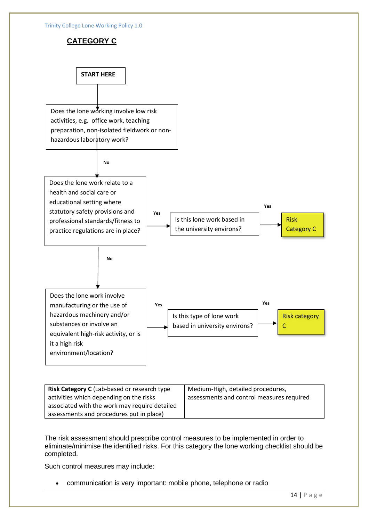

**Risk Category C** (Lab-based or research type activities which depending on the risks associated with the work may require detailed assessments and procedures put in place) Medium-High, detailed procedures, assessments and control measures required

The risk assessment should prescribe control measures to be implemented in order to eliminate/minimise the identified risks. For this category the lone working checklist should be completed.

Such control measures may include:

• communication is very important: mobile phone, telephone or radio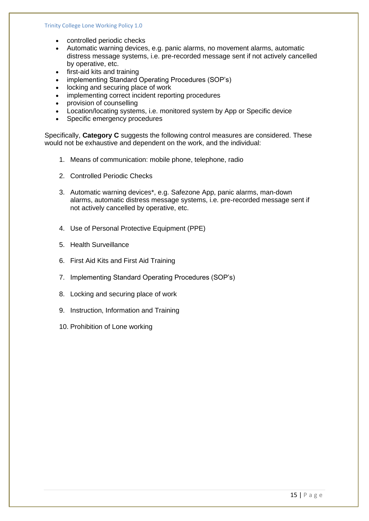- controlled periodic checks
- Automatic warning devices, e.g. panic alarms, no movement alarms, automatic distress message systems, i.e. pre-recorded message sent if not actively cancelled by operative, etc.
- first-aid kits and training
- implementing Standard Operating Procedures (SOP's)
- locking and securing place of work
- implementing correct incident reporting procedures
- provision of counselling
- Location/locating systems, i.e. monitored system by App or Specific device
- Specific emergency procedures

Specifically, **Category C** suggests the following control measures are considered. These would not be exhaustive and dependent on the work, and the individual:

- 1. Means of communication: mobile phone, telephone, radio
- 2. Controlled Periodic Checks
- 3. Automatic warning devices\*, e.g. Safezone App, panic alarms, man-down alarms, automatic distress message systems, i.e. pre-recorded message sent if not actively cancelled by operative, etc.
- 4. Use of Personal Protective Equipment (PPE)
- 5. Health Surveillance
- 6. First Aid Kits and First Aid Training
- 7. Implementing Standard Operating Procedures (SOP's)
- 8. Locking and securing place of work
- 9. Instruction, Information and Training
- 10. Prohibition of Lone working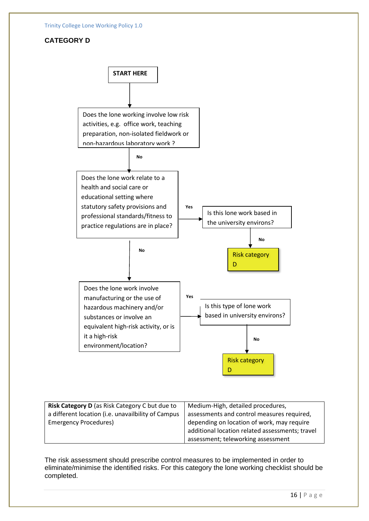## **CATEGORY D**



| Risk Category D (as Risk Category C but due to     | Medium-High, detailed procedures,               |
|----------------------------------------------------|-------------------------------------------------|
| a different location (i.e. unavailbility of Campus | assessments and control measures required,      |
| <b>Emergency Procedures)</b>                       | depending on location of work, may require      |
|                                                    | additional location related assessments; travel |
|                                                    | assessment; teleworking assessment              |

The risk assessment should prescribe control measures to be implemented in order to eliminate/minimise the identified risks. For this category the lone working checklist should be completed.